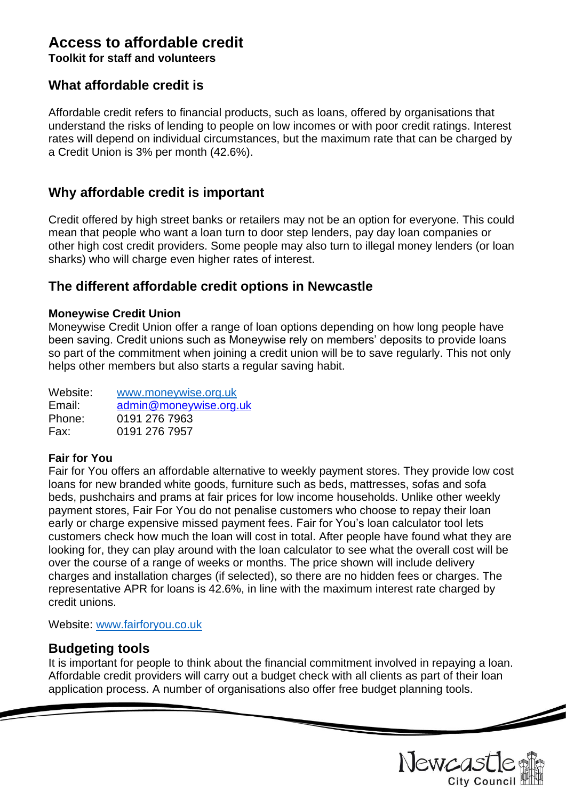# **Access to affordable credit**

**Toolkit for staff and volunteers**

### **What affordable credit is**

Affordable credit refers to financial products, such as loans, offered by organisations that understand the risks of lending to people on low incomes or with poor credit ratings. Interest rates will depend on individual circumstances, but the maximum rate that can be charged by a Credit Union is 3% per month (42.6%).

## **Why affordable credit is important**

Credit offered by high street banks or retailers may not be an option for everyone. This could mean that people who want a loan turn to door step lenders, pay day loan companies or other high cost credit providers. Some people may also turn to illegal money lenders (or loan sharks) who will charge even higher rates of interest.

### **The different affordable credit options in Newcastle**

#### **Moneywise Credit Union**

Moneywise Credit Union offer a range of loan options depending on how long people have been saving. Credit unions such as Moneywise rely on members' deposits to provide loans so part of the commitment when joining a credit union will be to save regularly. This not only helps other members but also starts a regular saving habit.

| Website: | www.moneywise.org.uk   |
|----------|------------------------|
| Email:   | admin@moneywise.org.uk |
| Phone:   | 0191 276 7963          |
| Fax:     | 0191 276 7957          |

#### **Fair for You**

Fair for You offers an affordable alternative to weekly payment stores. They provide low cost loans for new branded white goods, furniture such as beds, mattresses, sofas and sofa beds, pushchairs and prams at fair prices for low income households. Unlike other weekly payment stores, Fair For You do not penalise customers who choose to repay their loan early or charge expensive missed payment fees. Fair for You's [loan calculator](https://www.fairforyou.co.uk/loan-calculator) tool lets customers check how much the loan will cost in total. After people have found what they are looking for, they can play around with the loan calculator to see what the overall cost will be over the course of a range of weeks or months. The price shown will include delivery charges and installation charges (if selected), so there are no hidden fees or charges. The representative APR for loans is 42.6%, in line with the maximum interest rate charged by credit unions.

Website: [www.fairforyou.co.uk](http://www.fairforyou.co.uk/)

### **Budgeting tools**

It is important for people to think about the financial commitment involved in repaying a loan. Affordable credit providers will carry out a budget check with all clients as part of their loan application process. A number of organisations also offer free budget planning tools.